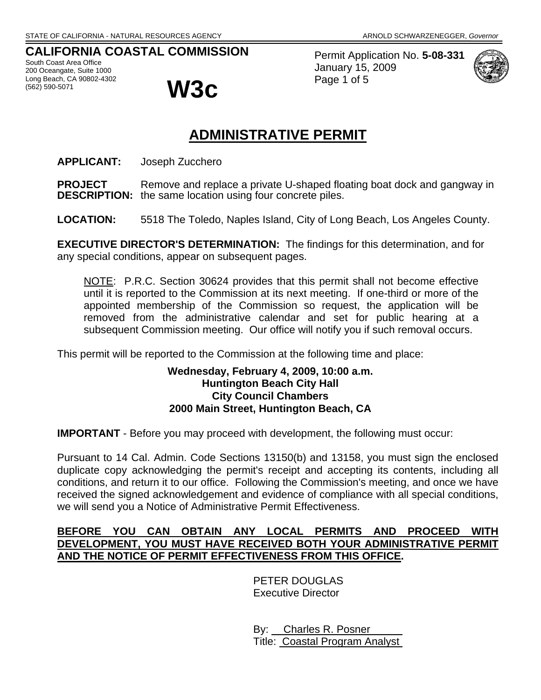## **CALIFORNIA COASTAL COMMISSION**

South Coast Area Office 200 Oceangate, Suite 1000 Long Beach, CA 90802-4302 (562) 590-5071 **W3c**



Permit Application No. **5-08-331** January 15, 2009 Page 1 of 5



# **ADMINISTRATIVE PERMIT**

**APPLICANT:** Joseph Zucchero

**PROJECT** Remove and replace a private U-shaped floating boat dock and gangway in **DESCRIPTION:** the same location using four concrete piles.

**LOCATION:** 5518 The Toledo, Naples Island, City of Long Beach, Los Angeles County.

**EXECUTIVE DIRECTOR'S DETERMINATION:** The findings for this determination, and for any special conditions, appear on subsequent pages.

NOTE: P.R.C. Section 30624 provides that this permit shall not become effective until it is reported to the Commission at its next meeting. If one-third or more of the appointed membership of the Commission so request, the application will be removed from the administrative calendar and set for public hearing at a subsequent Commission meeting. Our office will notify you if such removal occurs.

This permit will be reported to the Commission at the following time and place:

#### **Wednesday, February 4, 2009, 10:00 a.m. Huntington Beach City Hall City Council Chambers 2000 Main Street, Huntington Beach, CA**

**IMPORTANT** - Before you may proceed with development, the following must occur:

Pursuant to 14 Cal. Admin. Code Sections 13150(b) and 13158, you must sign the enclosed duplicate copy acknowledging the permit's receipt and accepting its contents, including all conditions, and return it to our office. Following the Commission's meeting, and once we have received the signed acknowledgement and evidence of compliance with all special conditions, we will send you a Notice of Administrative Permit Effectiveness.

## **BEFORE YOU CAN OBTAIN ANY LOCAL PERMITS AND PROCEED WITH DEVELOPMENT, YOU MUST HAVE RECEIVED BOTH YOUR ADMINISTRATIVE PERMIT AND THE NOTICE OF PERMIT EFFECTIVENESS FROM THIS OFFICE.**

PETER DOUGLAS Executive Director

 By: Charles R. Posner Title: Coastal Program Analyst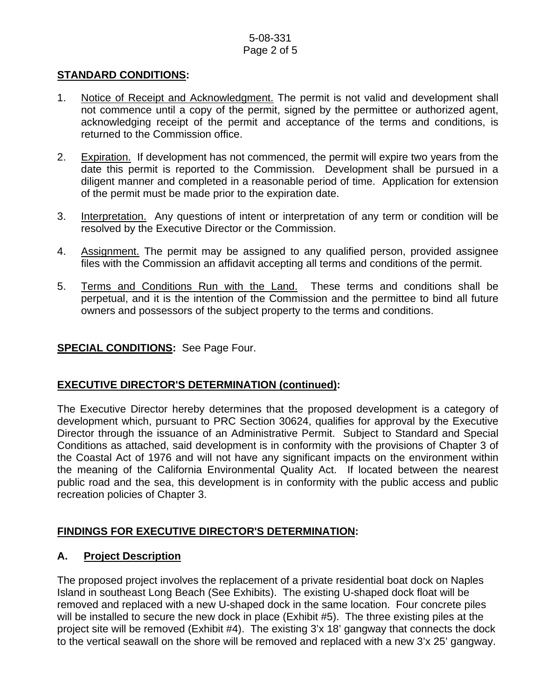## 5-08-331 Page 2 of 5

## **STANDARD CONDITIONS:**

- 1. Notice of Receipt and Acknowledgment. The permit is not valid and development shall not commence until a copy of the permit, signed by the permittee or authorized agent, acknowledging receipt of the permit and acceptance of the terms and conditions, is returned to the Commission office.
- 2. Expiration. If development has not commenced, the permit will expire two years from the date this permit is reported to the Commission. Development shall be pursued in a diligent manner and completed in a reasonable period of time. Application for extension of the permit must be made prior to the expiration date.
- 3. Interpretation. Any questions of intent or interpretation of any term or condition will be resolved by the Executive Director or the Commission.
- 4. Assignment. The permit may be assigned to any qualified person, provided assignee files with the Commission an affidavit accepting all terms and conditions of the permit.
- 5. Terms and Conditions Run with the Land. These terms and conditions shall be perpetual, and it is the intention of the Commission and the permittee to bind all future owners and possessors of the subject property to the terms and conditions.

## **SPECIAL CONDITIONS:** See Page Four.

### **EXECUTIVE DIRECTOR'S DETERMINATION (continued):**

The Executive Director hereby determines that the proposed development is a category of development which, pursuant to PRC Section 30624, qualifies for approval by the Executive Director through the issuance of an Administrative Permit. Subject to Standard and Special Conditions as attached, said development is in conformity with the provisions of Chapter 3 of the Coastal Act of 1976 and will not have any significant impacts on the environment within the meaning of the California Environmental Quality Act. If located between the nearest public road and the sea, this development is in conformity with the public access and public recreation policies of Chapter 3.

## **FINDINGS FOR EXECUTIVE DIRECTOR'S DETERMINATION:**

### **A. Project Description**

The proposed project involves the replacement of a private residential boat dock on Naples Island in southeast Long Beach (See Exhibits). The existing U-shaped dock float will be removed and replaced with a new U-shaped dock in the same location. Four concrete piles will be installed to secure the new dock in place (Exhibit #5). The three existing piles at the project site will be removed (Exhibit #4). The existing 3'x 18' gangway that connects the dock to the vertical seawall on the shore will be removed and replaced with a new 3'x 25' gangway.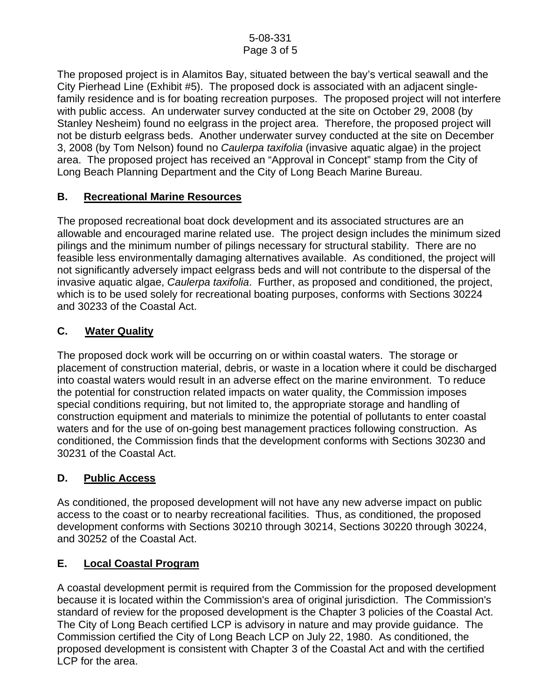The proposed project is in Alamitos Bay, situated between the bay's vertical seawall and the City Pierhead Line (Exhibit #5). The proposed dock is associated with an adjacent singlefamily residence and is for boating recreation purposes. The proposed project will not interfere with public access. An underwater survey conducted at the site on October 29, 2008 (by Stanley Nesheim) found no eelgrass in the project area. Therefore, the proposed project will not be disturb eelgrass beds. Another underwater survey conducted at the site on December 3, 2008 (by Tom Nelson) found no *Caulerpa taxifolia* (invasive aquatic algae) in the project area. The proposed project has received an "Approval in Concept" stamp from the City of Long Beach Planning Department and the City of Long Beach Marine Bureau.

## **B. Recreational Marine Resources**

The proposed recreational boat dock development and its associated structures are an allowable and encouraged marine related use. The project design includes the minimum sized pilings and the minimum number of pilings necessary for structural stability. There are no feasible less environmentally damaging alternatives available. As conditioned, the project will not significantly adversely impact eelgrass beds and will not contribute to the dispersal of the invasive aquatic algae, *Caulerpa taxifolia*. Further, as proposed and conditioned, the project, which is to be used solely for recreational boating purposes, conforms with Sections 30224 and 30233 of the Coastal Act.

## **C. Water Quality**

The proposed dock work will be occurring on or within coastal waters. The storage or placement of construction material, debris, or waste in a location where it could be discharged into coastal waters would result in an adverse effect on the marine environment. To reduce the potential for construction related impacts on water quality, the Commission imposes special conditions requiring, but not limited to, the appropriate storage and handling of construction equipment and materials to minimize the potential of pollutants to enter coastal waters and for the use of on-going best management practices following construction. As conditioned, the Commission finds that the development conforms with Sections 30230 and 30231 of the Coastal Act.

## **D. Public Access**

As conditioned, the proposed development will not have any new adverse impact on public access to the coast or to nearby recreational facilities. Thus, as conditioned, the proposed development conforms with Sections 30210 through 30214, Sections 30220 through 30224, and 30252 of the Coastal Act.

## **E. Local Coastal Program**

A coastal development permit is required from the Commission for the proposed development because it is located within the Commission's area of original jurisdiction. The Commission's standard of review for the proposed development is the Chapter 3 policies of the Coastal Act. The City of Long Beach certified LCP is advisory in nature and may provide guidance. The Commission certified the City of Long Beach LCP on July 22, 1980. As conditioned, the proposed development is consistent with Chapter 3 of the Coastal Act and with the certified LCP for the area.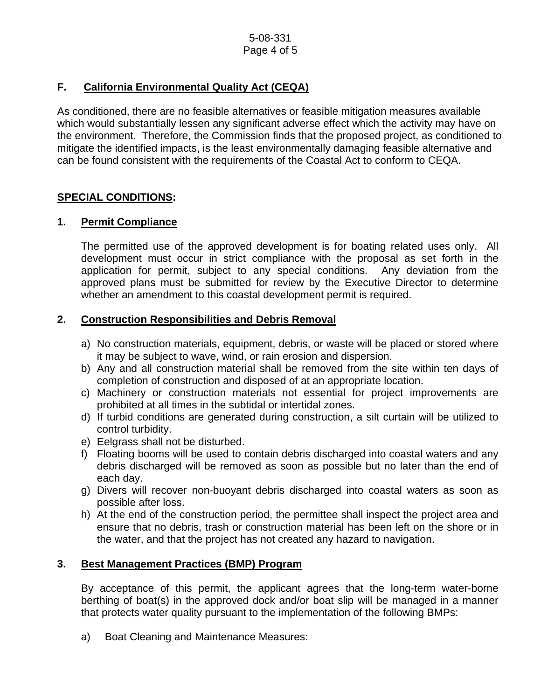## **F. California Environmental Quality Act (CEQA)**

As conditioned, there are no feasible alternatives or feasible mitigation measures available which would substantially lessen any significant adverse effect which the activity may have on the environment. Therefore, the Commission finds that the proposed project, as conditioned to mitigate the identified impacts, is the least environmentally damaging feasible alternative and can be found consistent with the requirements of the Coastal Act to conform to CEQA.

## **SPECIAL CONDITIONS:**

## **1. Permit Compliance**

 The permitted use of the approved development is for boating related uses only. All development must occur in strict compliance with the proposal as set forth in the application for permit, subject to any special conditions. Any deviation from the approved plans must be submitted for review by the Executive Director to determine whether an amendment to this coastal development permit is required.

## **2. Construction Responsibilities and Debris Removal**

- a) No construction materials, equipment, debris, or waste will be placed or stored where it may be subject to wave, wind, or rain erosion and dispersion.
- b) Any and all construction material shall be removed from the site within ten days of completion of construction and disposed of at an appropriate location.
- c) Machinery or construction materials not essential for project improvements are prohibited at all times in the subtidal or intertidal zones.
- d) If turbid conditions are generated during construction, a silt curtain will be utilized to control turbidity.
- e) Eelgrass shall not be disturbed.
- f) Floating booms will be used to contain debris discharged into coastal waters and any debris discharged will be removed as soon as possible but no later than the end of each day.
- g) Divers will recover non-buoyant debris discharged into coastal waters as soon as possible after loss.
- h) At the end of the construction period, the permittee shall inspect the project area and ensure that no debris, trash or construction material has been left on the shore or in the water, and that the project has not created any hazard to navigation.

### **3. Best Management Practices (BMP) Program**

By acceptance of this permit, the applicant agrees that the long-term water-borne berthing of boat(s) in the approved dock and/or boat slip will be managed in a manner that protects water quality pursuant to the implementation of the following BMPs:

a) Boat Cleaning and Maintenance Measures: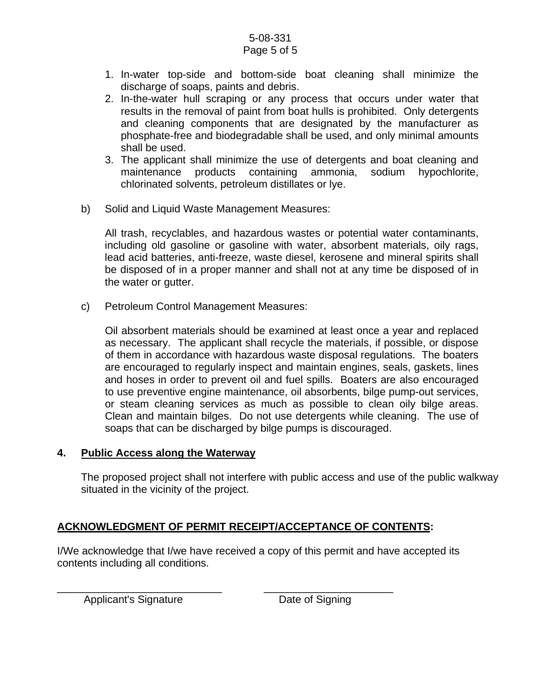#### 5-08-331 Page 5 of 5

- 1. In-water top-side and bottom-side boat cleaning shall minimize the discharge of soaps, paints and debris.
- 2. In-the-water hull scraping or any process that occurs under water that results in the removal of paint from boat hulls is prohibited. Only detergents and cleaning components that are designated by the manufacturer as phosphate-free and biodegradable shall be used, and only minimal amounts shall be used.
- 3. The applicant shall minimize the use of detergents and boat cleaning and maintenance products containing ammonia, sodium hypochlorite, chlorinated solvents, petroleum distillates or lye.
- b) Solid and Liquid Waste Management Measures:

All trash, recyclables, and hazardous wastes or potential water contaminants, including old gasoline or gasoline with water, absorbent materials, oily rags, lead acid batteries, anti-freeze, waste diesel, kerosene and mineral spirits shall be disposed of in a proper manner and shall not at any time be disposed of in the water or gutter.

c) Petroleum Control Management Measures:

Oil absorbent materials should be examined at least once a year and replaced as necessary. The applicant shall recycle the materials, if possible, or dispose of them in accordance with hazardous waste disposal regulations. The boaters are encouraged to regularly inspect and maintain engines, seals, gaskets, lines and hoses in order to prevent oil and fuel spills. Boaters are also encouraged to use preventive engine maintenance, oil absorbents, bilge pump-out services, or steam cleaning services as much as possible to clean oily bilge areas. Clean and maintain bilges. Do not use detergents while cleaning. The use of soaps that can be discharged by bilge pumps is discouraged.

### **4. Public Access along the Waterway**

The proposed project shall not interfere with public access and use of the public walkway situated in the vicinity of the project.

## **ACKNOWLEDGMENT OF PERMIT RECEIPT/ACCEPTANCE OF CONTENTS:**

\_\_\_\_\_\_\_\_\_\_\_\_\_\_\_\_\_\_\_\_\_\_\_\_\_\_\_\_ \_\_\_\_\_\_\_\_\_\_\_\_\_\_\_\_\_\_\_\_\_\_

I/We acknowledge that I/we have received a copy of this permit and have accepted its contents including all conditions.

Applicant's Signature Date of Signing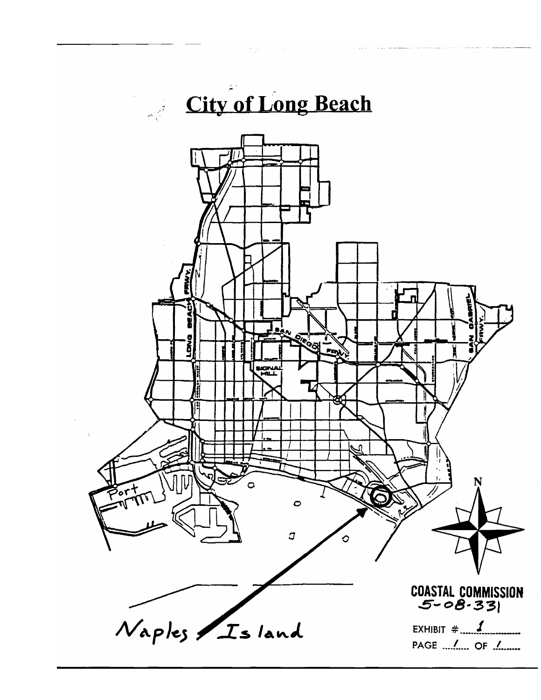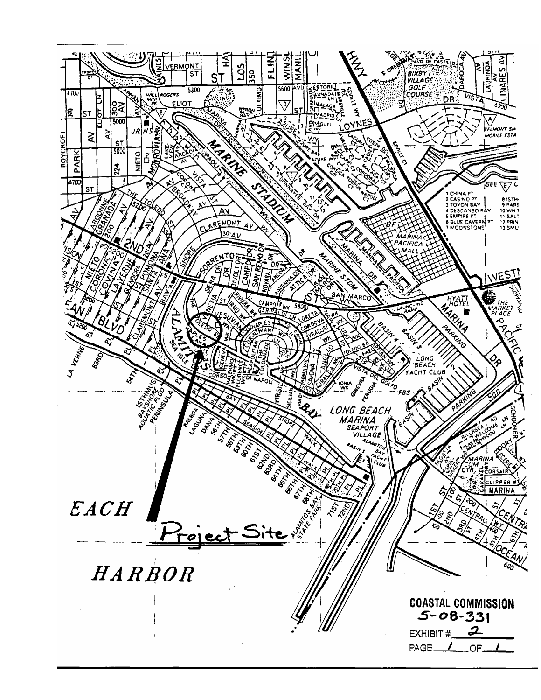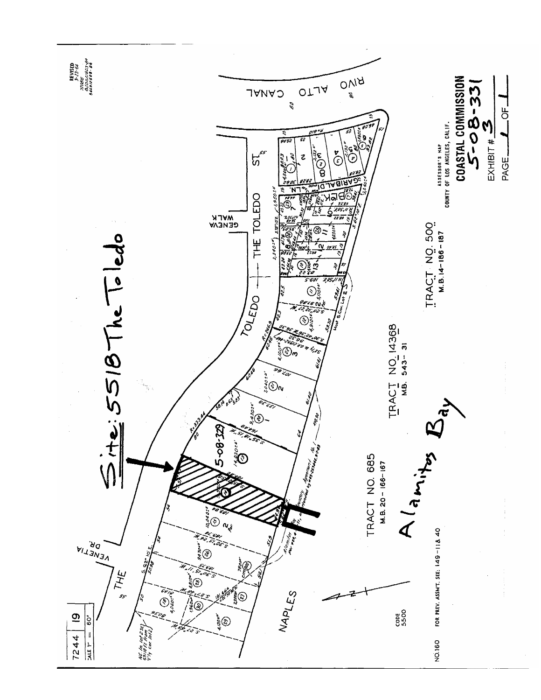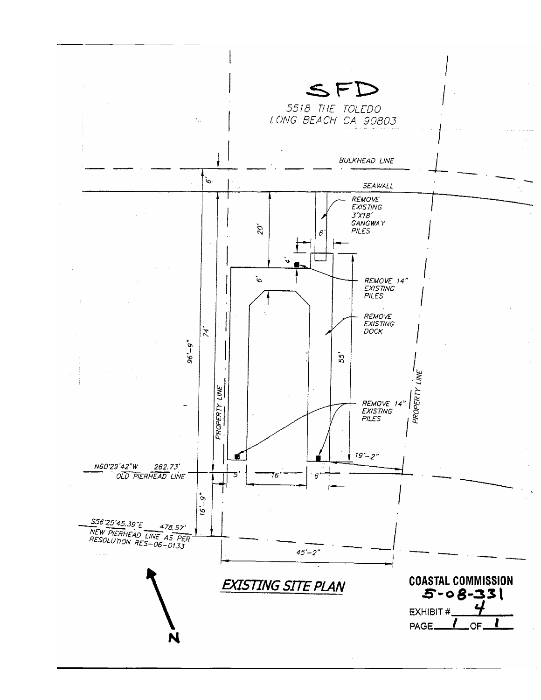